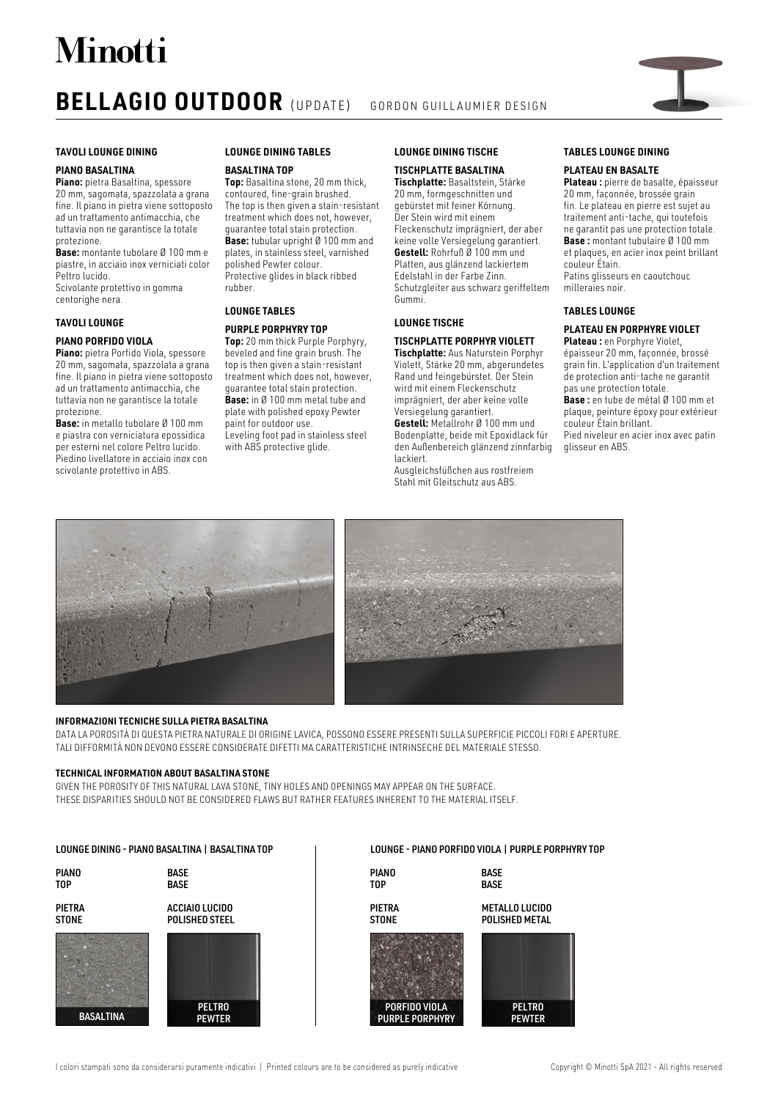# **Minotti**

### **BELLAGIO OUTDOOR** (UPDATE) GORDON GUILLAUMIER DESIGN



#### **PIANO BASALTINA**

**Piano:** pietra Basaltina, spessore 20 mm, sagomata, spazzolata a grana fine. Il piano in pietra viene sottoposto ad un trattamento antimacchia, che tuttavia non ne garantisce la totale protezione.

**Base:** montante tubolare Ø 100 mm e piastre, in acciaio inox verniciati color Peltro lucido.

Scivolante protettivo in gomma centorighe nera.

#### **TAVOLI LOUNGE**

#### **PIANO PORFIDO VIOLA**

**Piano:** pietra Porfido Viola, spessore 20 mm, sagomata, spazzolata a grana fine. Il piano in pietra viene sottoposto ad un trattamento antimacchia, che tuttavia non ne garantisce la totale protezione.

**Base:** in metallo tubolare Ø 100 mm e piastra con verniciatura epossidica per esterni nel colore Peltro lucido. Piedino livellatore in acciaio inox con scivolante protettivo in ABS.

### **LOUNGE DINING TABLES**

#### **BASALTINA TOP**

**Top:** Basaltina stone, 20 mm thick, contoured, fine-grain brushed. The top is then given a stain-resistant treatment which does not, however, guarantee total stain protection. **Base:** tubular upright Ø 100 mm and plates, in stainless steel, varnished polished Pewter colour. Protective glides in black ribbed rubber.

#### **LOUNGE TABLES**

#### **PURPLE PORPHYRY TOP**

**Top:** 20 mm thick Purple Porphyry, beveled and fine grain brush. The top is then given a stain-resistant treatment which does not, however, guarantee total stain protection. **Base:** in Ø 100 mm metal tube and plate with polished epoxy Pewter paint for outdoor use. Leveling foot pad in stainless steel with ABS protective glide.

#### **LOUNGE DINING TISCHE**

#### **TISCHPLATTE BASALTINA Tischplatte:** Basaltstein, Stärke

20 mm, formgeschnitten und gebürstet mit feiner Körnung. Der Stein wird mit einem Fleckenschutz imprägniert, der aber keine volle Versiegelung garantiert. **Gestell:** Rohrfuß Ø 100 mm und Platten, aus glänzend lackiertem Edelstahl in der Farbe Zinn. Schutzgleiter aus schwarz geriffeltem Gummi.

#### **LOUNGE TISCHE**

**TISCHPLATTE PORPHYR VIOLETT Tischplatte:** Aus Naturstein Porphyr Violett, Stärke 20 mm, abgerundetes

Rand und feingebürstet. Der Stein wird mit einem Fleckenschutz imprägniert, der aber keine volle Versiegelung garantiert. **Gestell:** Metallrohr Ø 100 mm und

Bodenplatte, beide mit Epoxidlack für den Außenbereich glänzend zinnfarbig lackiert.

Ausgleichsfüßchen aus rostfreiem Stahl mit Gleitschutz aus ABS.

#### **TABLES LOUNGE DINING**

#### **PLATEAU EN BASALTE**

**Plateau :** pierre de basalte, épaisseur 20 mm, façonnée, brossée grain fin. Le plateau en pierre est sujet au traitement anti-tache, qui toutefois ne garantit pas une protection totale. **Base :** montant tubulaire Ø 100 mm et plaques, en acier inox peint brillant couleur Étain. Patins glisseurs en caoutchouc milleraies noir.

#### **TABLES LOUNGE**

### **PLATEAU EN PORPHYRE VIOLET**

**Plateau :** en Porphyre Violet, épaisseur 20 mm, façonnée, brossé grain fin. L'application d'un traitement de protection anti-tache ne garantit pas une protection totale. **Base :** en tube de métal Ø 100 mm et plaque, peinture époxy pour extérieur couleur Étain brillant. Pied niveleur en acier inox avec patin glisseur en ABS.





#### **INFORMAZIONI TECNICHE SULLA PIETRA BASALTINA**

DATA LA POROSITÀ DI QUESTA PIETRA NATURALE DI ORIGINE LAVICA, POSSONO ESSERE PRESENTI SULLA SUPERFICIE PICCOLI FORI E APERTURE. TALI DIFFORMITÀ NON DEVONO ESSERE CONSIDERATE DIFETTI MA CARATTERISTICHE INTRINSECHE DEL MATERIALE STESSO.

#### **TECHNICAL INFORMATION ABOUT BASALTINA STONE**

GIVEN THE POROSITY OF THIS NATURAL LAVA STONE, TINY HOLES AND OPENINGS MAY APPEAR ON THE SURFACE. THESE DISPARITIES SHOULD NOT BE CONSIDERED FLAWS BUT RATHER FEATURES INHERENT TO THE MATERIAL ITSELF.

#### **PELTRO** PEWTER **PELTRO** PEWTER **PIANO** TOP **PIANO** TOP **BASE BASE BASE** BASE PIETRA STONE PIETRA **STONE** METALLO LUCIDO POLISHED METAL ACCIAIO LUCIDO POLISHED STEEL LOUNGE DINING - PIANO BASALTINA | BASALTINA TOP LOUNGE - PIANO PORFIDO VIOLA | PURPLE PORPHYRY TOP **BASALTINA** PORFIDO VIOLA PURPLE PORPHYRY

I colori stampati sono da considerarsi puramente indicativi | Printed colours are to be considered as purely indicative Copyright © Minotti SpA 2021 - All rights reserved